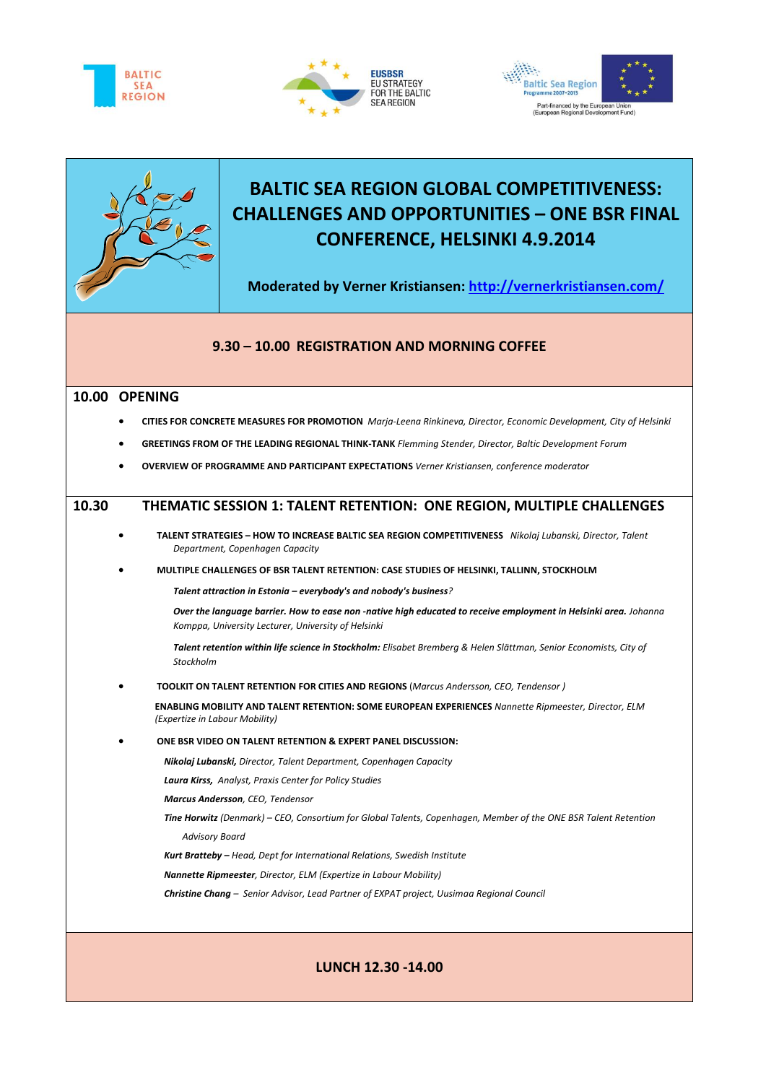







# **BALTIC SEA REGION GLOBAL COMPETITIVENESS: CHALLENGES AND OPPORTUNITIES – ONE BSR FINAL CONFERENCE, HELSINKI 4.9.2014**

**Moderated by Verner Kristiansen:<http://vernerkristiansen.com/>**

## **9.30 – 10.00 REGISTRATION AND MORNING COFFEE**

#### **10.00 OPENING**

- **CITIES FOR CONCRETE MEASURES FOR PROMOTION** *Marja-Leena Rinkineva, Director, Economic Development, City of Helsinki*
- **GREETINGS FROM OF THE LEADING REGIONAL THINK-TANK** *Flemming Stender, Director, Baltic Development Forum*
- **OVERVIEW OF PROGRAMME AND PARTICIPANT EXPECTATIONS** *Verner Kristiansen, conference moderator*

## **10.30 THEMATIC SESSION 1: TALENT RETENTION: ONE REGION, MULTIPLE CHALLENGES**

- **TALENT STRATEGIES – HOW TO INCREASE BALTIC SEA REGION COMPETITIVENESS** *Nikolaj Lubanski, Director, Talent Department, Copenhagen Capacity*
- **MULTIPLE CHALLENGES OF BSR TALENT RETENTION: CASE STUDIES OF HELSINKI, TALLINN, STOCKHOLM**

*Talent attraction in Estonia – everybody's and nobody's business?* 

*Over the language barrier. How to ease non -native high educated to receive employment in Helsinki area. Johanna Komppa, University Lecturer, University of Helsinki* 

*Talent retention within life science in Stockholm: Elisabet Bremberg & Helen Slättman, Senior Economists, City of Stockholm*

**TOOLKIT ON TALENT RETENTION FOR CITIES AND REGIONS** (*Marcus Andersson, CEO, Tendensor )*

**ENABLING MOBILITY AND TALENT RETENTION: SOME EUROPEAN EXPERIENCES** *Nannette Ripmeester, Director, ELM (Expertize in Labour Mobility)*

**ONE BSR VIDEO ON TALENT RETENTION & EXPERT PANEL DISCUSSION:**

*Nikolaj Lubanski, Director, Talent Department, Copenhagen Capacity*

*Laura Kirss, Analyst, Praxis Center for Policy Studies*

*Marcus Andersson, CEO, Tendensor*

*Tine Horwitz (Denmark) – CEO, Consortium for Global Talents, Copenhagen, Member of the ONE BSR Talent Retention Advisory Board*

*Kurt Bratteby – Head, Dept for International Relations, Swedish Institute* 

*Nannette Ripmeester, Director, ELM (Expertize in Labour Mobility)*

*Christine Chang – Senior Advisor, Lead Partner of EXPAT project, Uusimaa Regional Council* 

## **LUNCH 12.30 -14.00**